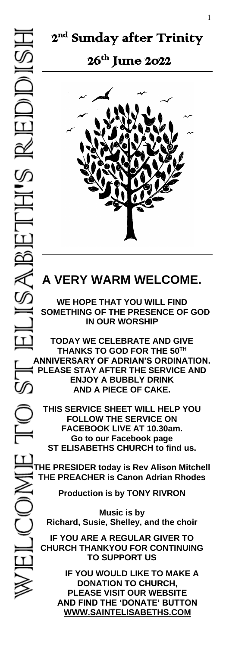# 2<sup>nd</sup> Sunday after Trinity

26<sup>th</sup> June 2022



# **A VERY WARM WELCOME.**

**WE HOPE THAT YOU WILL FIND SOMETHING OF THE PRESENCE OF GOD IN OUR WORSHIP**

**TODAY WE CELEBRATE AND GIVE THANKS TO GOD FOR THE 50TH ANNIVERSARY OF ADRIAN'S ORDINATION. PLEASE STAY AFTER THE SERVICE AND ENJOY A BUBBLY DRINK AND A PIECE OF CAKE.**

**THIS SERVICE SHEET WILL HELP YOU FOLLOW THE SERVICE ON FACEBOOK LIVE AT 10.30am. Go to our Facebook page ST ELISABETHS CHURCH to find us.**

**THE PRESIDER today is Rev Alison Mitchell THE PREACHER is Canon Adrian Rhodes**

**Production is by TONY RIVRON**

**Music is by Richard, Susie, Shelley, and the choir**

**IF YOU ARE A REGULAR GIVER TO CHURCH THANKYOU FOR CONTINUING TO SUPPORT US**

> **IF YOU WOULD LIKE TO MAKE A DONATION TO CHURCH, PLEASE VISIT OUR WEBSITE AND FIND THE 'DONATE' BUTTON [WWW.SAINTELISABETHS.COM](http://www.saintelisabeths.com/)**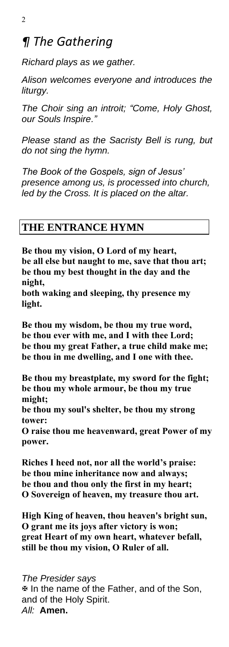# *¶ The Gathering*

*Richard plays as we gather.*

*Alison welcomes everyone and introduces the liturgy.*

*The Choir sing an introit; "Come, Holy Ghost, our Souls Inspire."*

*Please stand as the Sacristy Bell is rung, but do not sing the hymn.*

*The Book of the Gospels, sign of Jesus' presence among us, is processed into church, led by the Cross. It is placed on the altar.*

## **THE ENTRANCE HYMN**

**Be thou my vision, O Lord of my heart, be all else but naught to me, save that thou art; be thou my best thought in the day and the night,**

**both waking and sleeping, thy presence my light.**

**Be thou my wisdom, be thou my true word, be thou ever with me, and I with thee Lord; be thou my great Father, a true child make me; be thou in me dwelling, and I one with thee.**

**Be thou my breastplate, my sword for the fight; be thou my whole armour, be thou my true might; be thou my soul's shelter, be thou my strong tower:**

**O raise thou me heavenward, great Power of my power.**

**Riches I heed not, nor all the world's praise: be thou mine inheritance now and always; be thou and thou only the first in my heart; O Sovereign of heaven, my treasure thou art.**

**High King of heaven, thou heaven's bright sun, O grant me its joys after victory is won; great Heart of my own heart, whatever befall, still be thou my vision, O Ruler of all.**

#### *The Presider says*

 In the name of the Father, and of the Son, and of the Holy Spirit. *All:* **Amen.**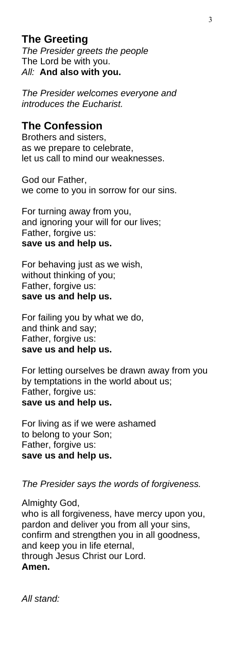#### **The Greeting**

*The Presider greets the people* The Lord be with you. *All:* **And also with you.**

*The Presider welcomes everyone and introduces the Eucharist.*

## **The Confession**

Brothers and sisters, as we prepare to celebrate, let us call to mind our weaknesses.

God our Father, we come to you in sorrow for our sins.

For turning away from you, and ignoring your will for our lives; Father, forgive us: **save us and help us.**

For behaving just as we wish, without thinking of you; Father, forgive us: **save us and help us.**

For failing you by what we do, and think and say; Father, forgive us: **save us and help us.**

For letting ourselves be drawn away from you by temptations in the world about us; Father, forgive us: **save us and help us.**

For living as if we were ashamed to belong to your Son; Father, forgive us: **save us and help us.**

#### *The Presider says the words of forgiveness.*

Almighty God, who is all forgiveness, have mercy upon you, pardon and deliver you from all your sins, confirm and strengthen you in all goodness, and keep you in life eternal, through Jesus Christ our Lord. **Amen.**

*All stand:*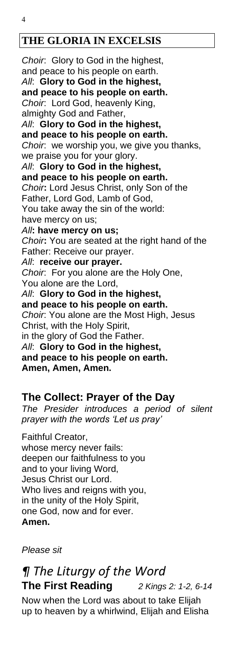#### **THE GLORIA IN EXCELSIS**

*Choir*: Glory to God in the highest, and peace to his people on earth. *All*: **Glory to God in the highest, and peace to his people on earth.** *Choir*: Lord God, heavenly King, almighty God and Father, *All*: **Glory to God in the highest, and peace to his people on earth.** *Choir*: we worship you, we give you thanks, we praise you for your glory. *All*: **Glory to God in the highest, and peace to his people on earth.** *Choir***:** Lord Jesus Christ, only Son of the Father, Lord God, Lamb of God, You take away the sin of the world: have mercy on us; *All***: have mercy on us;** *Choir***:** You are seated at the right hand of the Father: Receive our prayer. *All*: **receive our prayer.** *Choir*: For you alone are the Holy One, You alone are the Lord, *All*: **Glory to God in the highest, and peace to his people on earth.** *Choir*: You alone are the Most High, Jesus Christ, with the Holy Spirit, in the glory of God the Father. *All*: **Glory to God in the highest, and peace to his people on earth. Amen, Amen, Amen.**

#### **The Collect: Prayer of the Day**

*The Presider introduces a period of silent prayer with the words 'Let us pray'* 

Faithful Creator, whose mercy never fails: deepen our faithfulness to you and to your living Word, Jesus Christ our Lord. Who lives and reigns with you, in the unity of the Holy Spirit, one God, now and for ever. **Amen.**

*Please sit*

*¶ The Liturgy of the Word* **The First Reading** *2 Kings 2: 1-2, 6-14* Now when the Lord was about to take Elijah up to heaven by a whirlwind, Elijah and Elisha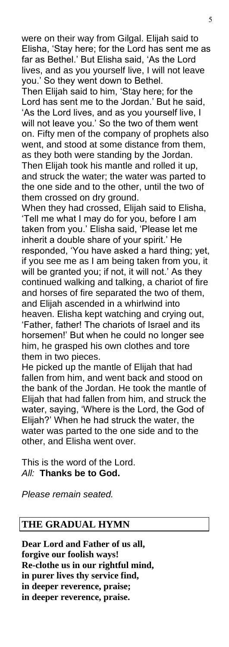were on their way from Gilgal. Elijah said to Elisha, 'Stay here; for the Lord has sent me as far as Bethel.' But Elisha said, 'As the Lord lives, and as you yourself live, I will not leave you.' So they went down to Bethel.

Then Elijah said to him, 'Stay here; for the Lord has sent me to the Jordan.' But he said, 'As the Lord lives, and as you yourself live, I will not leave you.' So the two of them went on. Fifty men of the company of prophets also went, and stood at some distance from them, as they both were standing by the Jordan. Then Elijah took his mantle and rolled it up, and struck the water; the water was parted to the one side and to the other, until the two of them crossed on dry ground.

When they had crossed, Elijah said to Elisha, 'Tell me what I may do for you, before I am taken from you.' Elisha said, 'Please let me inherit a double share of your spirit.' He responded, 'You have asked a hard thing; yet, if you see me as I am being taken from you, it will be granted you; if not, it will not.' As they continued walking and talking, a chariot of fire and horses of fire separated the two of them, and Elijah ascended in a whirlwind into heaven. Elisha kept watching and crying out, 'Father, father! The chariots of Israel and its horsemen!' But when he could no longer see him, he grasped his own clothes and tore them in two pieces.

He picked up the mantle of Elijah that had fallen from him, and went back and stood on the bank of the Jordan. He took the mantle of Elijah that had fallen from him, and struck the water, saying, 'Where is the Lord, the God of Elijah?' When he had struck the water, the water was parted to the one side and to the other, and Elisha went over.

This is the word of the Lord. *All:* **Thanks be to God.**

*Please remain seated.*

## **THE GRADUAL HYMN**

**Dear Lord and Father of us all, forgive our foolish ways! Re-clothe us in our rightful mind, in purer lives thy service find, in deeper reverence, praise; in deeper reverence, praise.**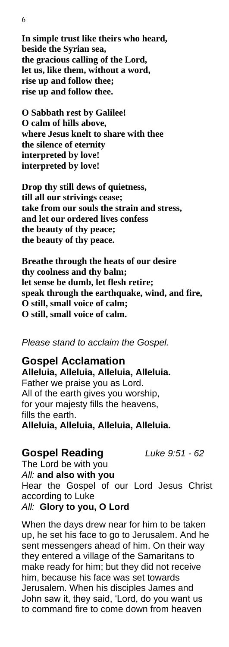**In simple trust like theirs who heard, beside the Syrian sea, the gracious calling of the Lord, let us, like them, without a word, rise up and follow thee; rise up and follow thee.**

**O Sabbath rest by Galilee! O calm of hills above, where Jesus knelt to share with thee the silence of eternity interpreted by love! interpreted by love!**

**Drop thy still dews of quietness, till all our strivings cease; take from our souls the strain and stress, and let our ordered lives confess the beauty of thy peace; the beauty of thy peace.**

**Breathe through the heats of our desire thy coolness and thy balm; let sense be dumb, let flesh retire; speak through the earthquake, wind, and fire, O still, small voice of calm; O still, small voice of calm.**

*Please stand to acclaim the Gospel.*

**Gospel Acclamation Alleluia, Alleluia, Alleluia, Alleluia.** Father we praise you as Lord. All of the earth gives you worship, for your majesty fills the heavens, fills the earth. **Alleluia, Alleluia, Alleluia, Alleluia.**

#### **Gospel Reading** *Luke 9:51 - 62*

The Lord be with you *All:* **and also with you** Hear the Gospel of our Lord Jesus Christ according to Luke *All:* **Glory to you, O Lord**

When the days drew near for him to be taken up, he set his face to go to Jerusalem. And he sent messengers ahead of him. On their way they entered a village of the Samaritans to make ready for him; but they did not receive him, because his face was set towards Jerusalem. When his disciples James and John saw it, they said, 'Lord, do you want us to command fire to come down from heaven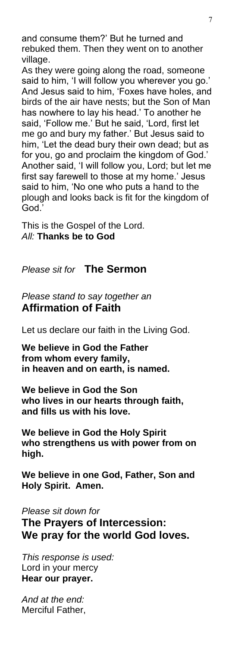and consume them?' But he turned and rebuked them. Then they went on to another village.

As they were going along the road, someone said to him, 'I will follow you wherever you go.' And Jesus said to him, 'Foxes have holes, and birds of the air have nests; but the Son of Man has nowhere to lay his head.' To another he said, 'Follow me.' But he said, 'Lord, first let me go and bury my father.' But Jesus said to him, 'Let the dead bury their own dead; but as for you, go and proclaim the kingdom of God.' Another said, 'I will follow you, Lord; but let me first say farewell to those at my home.' Jesus said to him, 'No one who puts a hand to the plough and looks back is fit for the kingdom of God.'

This is the Gospel of the Lord. *All:* **Thanks be to God**

*Please sit for* **The Sermon**

*Please stand to say together an* **Affirmation of Faith**

Let us declare our faith in the Living God.

**We believe in God the Father from whom every family, in heaven and on earth, is named.**

**We believe in God the Son who lives in our hearts through faith, and fills us with his love.**

**We believe in God the Holy Spirit who strengthens us with power from on high.**

**We believe in one God, Father, Son and Holy Spirit. Amen.**

*Please sit down for* **The Prayers of Intercession: We pray for the world God loves.**

*This response is used:* Lord in your mercy **Hear our prayer.**

*And at the end:*  Merciful Father,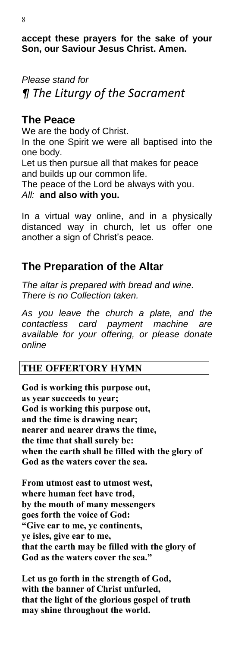**accept these prayers for the sake of your Son, our Saviour Jesus Christ. Amen.**

# *Please stand for ¶ The Liturgy of the Sacrament*

# **The Peace**

We are the body of Christ. In the one Spirit we were all baptised into the one body. Let us then pursue all that makes for peace and builds up our common life. The peace of the Lord be always with you. *All:* **and also with you.**

In a virtual way online, and in a physically distanced way in church, let us offer one another a sign of Christ's peace.

# **The Preparation of the Altar**

*The altar is prepared with bread and wine. There is no Collection taken.*

*As you leave the church a plate, and the contactless card payment machine are available for your offering, or please donate online*

## **THE OFFERTORY HYMN**

**God is working this purpose out, as year succeeds to year; God is working this purpose out, and the time is drawing near; nearer and nearer draws the time, the time that shall surely be: when the earth shall be filled with the glory of God as the waters cover the sea.**

**From utmost east to utmost west, where human feet have trod, by the mouth of many messengers goes forth the voice of God: "Give ear to me, ye continents, ye isles, give ear to me, that the earth may be filled with the glory of God as the waters cover the sea."**

**Let us go forth in the strength of God, with the banner of Christ unfurled, that the light of the glorious gospel of truth may shine throughout the world.**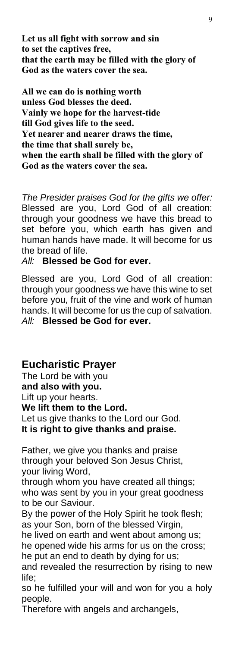**Let us all fight with sorrow and sin to set the captives free, that the earth may be filled with the glory of God as the waters cover the sea.**

**All we can do is nothing worth unless God blesses the deed. Vainly we hope for the harvest-tide till God gives life to the seed. Yet nearer and nearer draws the time, the time that shall surely be, when the earth shall be filled with the glory of God as the waters cover the sea.**

*The Presider praises God for the gifts we offer:* Blessed are you, Lord God of all creation: through your goodness we have this bread to set before you, which earth has given and human hands have made. It will become for us the bread of life.

*All:* **Blessed be God for ever.**

Blessed are you, Lord God of all creation: through your goodness we have this wine to set before you, fruit of the vine and work of human hands. It will become for us the cup of salvation. *All:* **Blessed be God for ever.**

#### **Eucharistic Prayer**

The Lord be with you **and also with you.** Lift up your hearts. **We lift them to the Lord.** Let us give thanks to the Lord our God. **It is right to give thanks and praise.**

Father, we give you thanks and praise through your beloved Son Jesus Christ, your living Word,

through whom you have created all things; who was sent by you in your great goodness to be our Saviour.

By the power of the Holy Spirit he took flesh; as your Son, born of the blessed Virgin,

he lived on earth and went about among us;

he opened wide his arms for us on the cross; he put an end to death by dying for us;

and revealed the resurrection by rising to new life;

so he fulfilled your will and won for you a holy people.

Therefore with angels and archangels,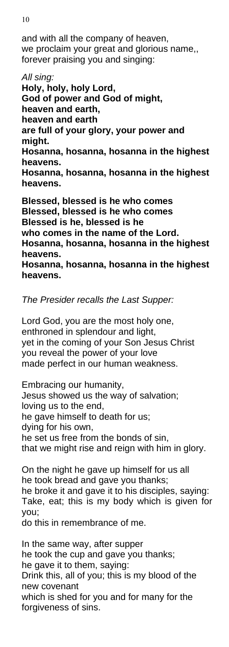and with all the company of heaven, we proclaim your great and glorious name,, forever praising you and singing:

*All sing:*  **Holy, holy, holy Lord, God of power and God of might, heaven and earth, heaven and earth are full of your glory, your power and might. Hosanna, hosanna, hosanna in the highest heavens. Hosanna, hosanna, hosanna in the highest heavens. Blessed, blessed is he who comes Blessed, blessed is he who comes Blessed is he, blessed is he who comes in the name of the Lord. Hosanna, hosanna, hosanna in the highest heavens. Hosanna, hosanna, hosanna in the highest heavens.**

#### *The Presider recalls the Last Supper:*

Lord God, you are the most holy one, enthroned in splendour and light, yet in the coming of your Son Jesus Christ you reveal the power of your love made perfect in our human weakness.

Embracing our humanity, Jesus showed us the way of salvation; loving us to the end, he gave himself to death for us; dying for his own, he set us free from the bonds of sin, that we might rise and reign with him in glory.

On the night he gave up himself for us all he took bread and gave you thanks; he broke it and gave it to his disciples, saying: Take, eat; this is my body which is given for you;

do this in remembrance of me.

In the same way, after supper he took the cup and gave you thanks; he gave it to them, saying: Drink this, all of you; this is my blood of the new covenant which is shed for you and for many for the forgiveness of sins.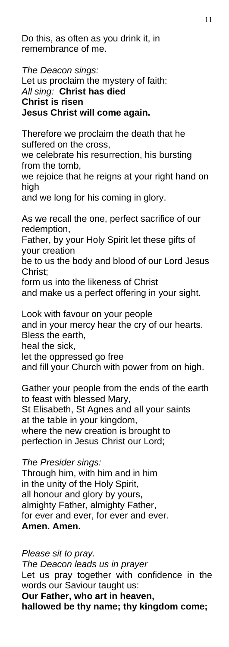Do this, as often as you drink it, in remembrance of me.

*The Deacon sings:* Let us proclaim the mystery of faith: *All sing:* **Christ has died Christ is risen Jesus Christ will come again.**

Therefore we proclaim the death that he suffered on the cross,

we celebrate his resurrection, his bursting from the tomb,

we rejoice that he reigns at your right hand on high

and we long for his coming in glory.

As we recall the one, perfect sacrifice of our redemption,

Father, by your Holy Spirit let these gifts of your creation

be to us the body and blood of our Lord Jesus Christ;

form us into the likeness of Christ

and make us a perfect offering in your sight.

Look with favour on your people and in your mercy hear the cry of our hearts. Bless the earth,

heal the sick,

let the oppressed go free

and fill your Church with power from on high.

Gather your people from the ends of the earth to feast with blessed Mary, St Elisabeth, St Agnes and all your saints at the table in your kingdom, where the new creation is brought to perfection in Jesus Christ our Lord;

*The Presider sings:*

Through him, with him and in him in the unity of the Holy Spirit, all honour and glory by yours, almighty Father, almighty Father, for ever and ever, for ever and ever. **Amen. Amen.**

*Please sit to pray. The Deacon leads us in prayer* Let us pray together with confidence in the words our Saviour taught us: **Our Father, who art in heaven, hallowed be thy name; thy kingdom come;**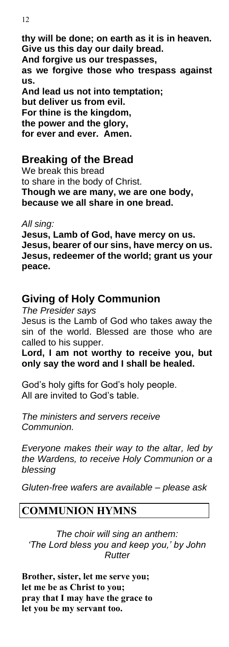**thy will be done; on earth as it is in heaven. Give us this day our daily bread. And forgive us our trespasses, as we forgive those who trespass against us. And lead us not into temptation; but deliver us from evil. For thine is the kingdom, the power and the glory, for ever and ever. Amen.**

# **Breaking of the Bread**

We break this bread to share in the body of Christ. **Though we are many, we are one body, because we all share in one bread.**

#### *All sing:*

**Jesus, Lamb of God, have mercy on us. Jesus, bearer of our sins, have mercy on us. Jesus, redeemer of the world; grant us your peace.**

# **Giving of Holy Communion**

*The Presider says*

Jesus is the Lamb of God who takes away the sin of the world. Blessed are those who are called to his supper.

**Lord, I am not worthy to receive you, but only say the word and I shall be healed.**

God's holy gifts for God's holy people. All are invited to God's table.

*The ministers and servers receive Communion.*

*Everyone makes their way to the altar, led by the Wardens, to receive Holy Communion or a blessing*

*Gluten-free wafers are available – please ask*

# **COMMUNION HYMNS**

*The choir will sing an anthem: 'The Lord bless you and keep you,' by John Rutter*

**Brother, sister, let me serve you; let me be as Christ to you; pray that I may have the grace to let you be my servant too.**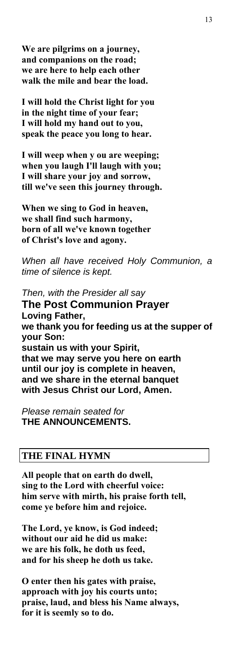**We are pilgrims on a journey, and companions on the road; we are here to help each other walk the mile and bear the load.**

**I will hold the Christ light for you in the night time of your fear; I will hold my hand out to you, speak the peace you long to hear.**

**I will weep when y ou are weeping; when you laugh I'll laugh with you; I will share your joy and sorrow, till we've seen this journey through.**

**When we sing to God in heaven, we shall find such harmony, born of all we've known together of Christ's love and agony.**

*When all have received Holy Communion, a time of silence is kept.* 

*Then, with the Presider all say*  **The Post Communion Prayer Loving Father, we thank you for feeding us at the supper of your Son: sustain us with your Spirit, that we may serve you here on earth until our joy is complete in heaven, and we share in the eternal banquet with Jesus Christ our Lord, Amen.**

*Please remain seated for*  **THE ANNOUNCEMENTS.**

#### **THE FINAL HYMN**

**All people that on earth do dwell, sing to the Lord with cheerful voice: him serve with mirth, his praise forth tell, come ye before him and rejoice.**

**The Lord, ye know, is God indeed; without our aid he did us make: we are his folk, he doth us feed, and for his sheep he doth us take.**

**O enter then his gates with praise, approach with joy his courts unto; praise, laud, and bless his Name always, for it is seemly so to do.**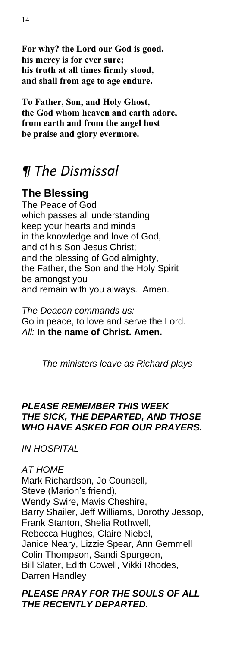**For why? the Lord our God is good, his mercy is for ever sure; his truth at all times firmly stood, and shall from age to age endure.**

**To Father, Son, and Holy Ghost, the God whom heaven and earth adore, from earth and from the angel host be praise and glory evermore.**

# *¶ The Dismissal*

**The Blessing**

The Peace of God which passes all understanding keep your hearts and minds in the knowledge and love of God, and of his Son Jesus Christ; and the blessing of God almighty, the Father, the Son and the Holy Spirit be amongst you and remain with you always. Amen.

*The Deacon commands us:* Go in peace, to love and serve the Lord. *All:* **In the name of Christ. Amen.**

*The ministers leave as Richard plays*

#### *PLEASE REMEMBER THIS WEEK THE SICK, THE DEPARTED, AND THOSE WHO HAVE ASKED FOR OUR PRAYERS.*

*IN HOSPITAL*

*AT HOME* Mark Richardson, Jo Counsell, Steve (Marion's friend), Wendy Swire, Mavis Cheshire, Barry Shailer, Jeff Williams, Dorothy Jessop, Frank Stanton, Shelia Rothwell, Rebecca Hughes, Claire Niebel, Janice Neary, Lizzie Spear, Ann Gemmell Colin Thompson, Sandi Spurgeon, Bill Slater, Edith Cowell, Vikki Rhodes, Darren Handley

#### *PLEASE PRAY FOR THE SOULS OF ALL THE RECENTLY DEPARTED.*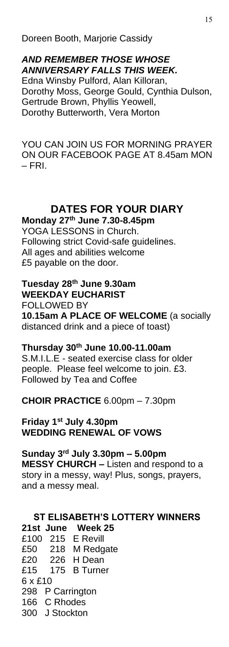*AND REMEMBER THOSE WHOSE ANNIVERSARY FALLS THIS WEEK.* Edna Winsby Pulford, Alan Killoran, Dorothy Moss, George Gould, Cynthia Dulson, Gertrude Brown, Phyllis Yeowell, Dorothy Butterworth, Vera Morton

YOU CAN JOIN US FOR MORNING PRAYER ON OUR FACEBOOK PAGE AT 8.45am MON – FRI.

# **DATES FOR YOUR DIARY**

**Monday 27th June 7.30-8.45pm** YOGA LESSONS in Church. Following strict Covid-safe guidelines. All ages and abilities welcome £5 payable on the door.

# **Tuesday 28th June 9.30am**

**WEEKDAY EUCHARIST** FOLLOWED BY **10.15am A PLACE OF WELCOME** (a socially distanced drink and a piece of toast)

## **Thursday 30th June 10.00-11.00am**

S.M.I.L.E - seated exercise class for older people. Please feel welcome to join. £3. Followed by Tea and Coffee

**CHOIR PRACTICE** 6.00pm – 7.30pm

**Friday 1st July 4.30pm WEDDING RENEWAL OF VOWS**

# **Sunday 3rd July 3.30pm – 5.00pm**

**MESSY CHURCH –** Listen and respond to a story in a messy, way! Plus, songs, prayers, and a messy meal.

## **ST ELISABETH'S LOTTERY WINNERS**

**21st June Week 25** £100 215 E Revill £50 218 M Redgate £20 226 H Dean £15 175 B Turner 6 x £10 298 P Carrington 166 C Rhodes 300 J Stockton